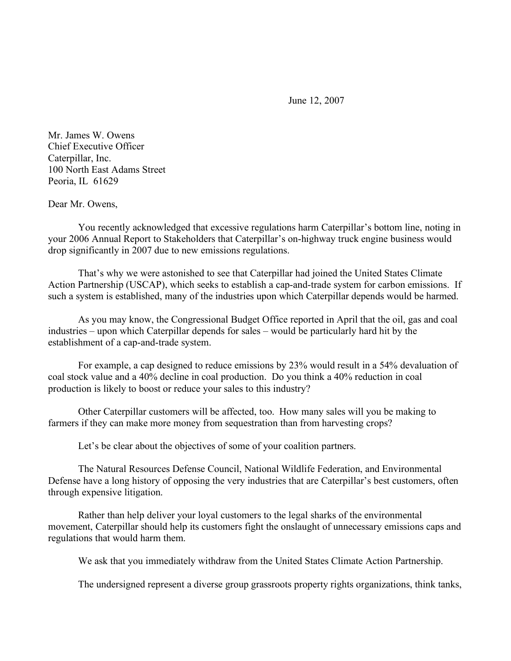June 12, 2007

Mr. James W. Owens Chief Executive Officer Caterpillar, Inc. 100 North East Adams Street Peoria, IL 61629

Dear Mr. Owens,

You recently acknowledged that excessive regulations harm Caterpillar's bottom line, noting in your 2006 Annual Report to Stakeholders that Caterpillar's on-highway truck engine business would drop significantly in 2007 due to new emissions regulations.

That's why we were astonished to see that Caterpillar had joined the United States Climate Action Partnership (USCAP), which seeks to establish a cap-and-trade system for carbon emissions. If such a system is established, many of the industries upon which Caterpillar depends would be harmed.

As you may know, the Congressional Budget Office reported in April that the oil, gas and coal industries – upon which Caterpillar depends for sales – would be particularly hard hit by the establishment of a cap-and-trade system.

For example, a cap designed to reduce emissions by 23% would result in a 54% devaluation of coal stock value and a 40% decline in coal production. Do you think a 40% reduction in coal production is likely to boost or reduce your sales to this industry?

Other Caterpillar customers will be affected, too. How many sales will you be making to farmers if they can make more money from sequestration than from harvesting crops?

Let's be clear about the objectives of some of your coalition partners.

The Natural Resources Defense Council, National Wildlife Federation, and Environmental Defense have a long history of opposing the very industries that are Caterpillar's best customers, often through expensive litigation.

Rather than help deliver your loyal customers to the legal sharks of the environmental movement, Caterpillar should help its customers fight the onslaught of unnecessary emissions caps and regulations that would harm them.

We ask that you immediately withdraw from the United States Climate Action Partnership.

The undersigned represent a diverse group grassroots property rights organizations, think tanks,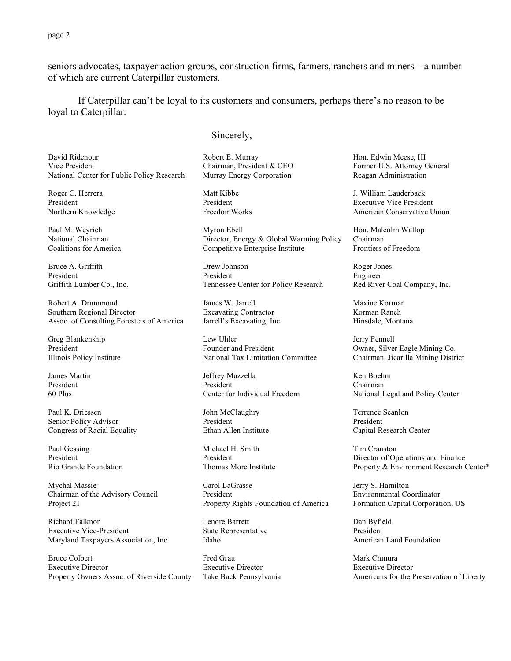page 2

seniors advocates, taxpayer action groups, construction firms, farmers, ranchers and miners – a number of which are current Caterpillar customers.

If Caterpillar can't be loyal to its customers and consumers, perhaps there's no reason to be loyal to Caterpillar.

## Sincerely,

David Ridenour Vice President National Center for Public Policy Research

Roger C. Herrera President Northern Knowledge

Paul M. Weyrich National Chairman Coalitions for America

Bruce A. Griffith President Griffith Lumber Co., Inc.

Robert A. Drummond Southern Regional Director Assoc. of Consulting Foresters of America

Greg Blankenship President Illinois Policy Institute

James Martin President 60 Plus

Paul K. Driessen Senior Policy Advisor Congress of Racial Equality

Paul Gessing President Rio Grande Foundation

Mychal Massie Chairman of the Advisory Council Project 21

Richard Falknor Executive Vice-President Maryland Taxpayers Association, Inc.

Bruce Colbert Executive Director Property Owners Assoc. of Riverside County Robert E. Murray Chairman, President & CEO Murray Energy Corporation

Matt Kibbe President FreedomWorks

Myron Ebell Director, Energy & Global Warming Policy Competitive Enterprise Institute

Drew Johnson President Tennessee Center for Policy Research

James W. Jarrell Excavating Contractor Jarrell's Excavating, Inc.

Lew Uhler Founder and President National Tax Limitation Committee

Jeffrey Mazzella President Center for Individual Freedom

John McClaughry President Ethan Allen Institute

Michael H. Smith President Thomas More Institute

Carol LaGrasse President Property Rights Foundation of America

Lenore Barrett State Representative Idaho

Fred Grau Executive Director Take Back Pennsylvania Hon. Edwin Meese, III Former U.S. Attorney General Reagan Administration

J. William Lauderback Executive Vice President American Conservative Union

Hon. Malcolm Wallop Chairman Frontiers of Freedom

Roger Jones Engineer Red River Coal Company, Inc.

Maxine Korman Korman Ranch Hinsdale, Montana

Jerry Fennell Owner, Silver Eagle Mining Co. Chairman, Jicarilla Mining District

Ken Boehm Chairman National Legal and Policy Center

Terrence Scanlon President Capital Research Center

Tim Cranston Director of Operations and Finance Property & Environment Research Center\*

Jerry S. Hamilton Environmental Coordinator Formation Capital Corporation, US

Dan Byfield President American Land Foundation

Mark Chmura Executive Director Americans for the Preservation of Liberty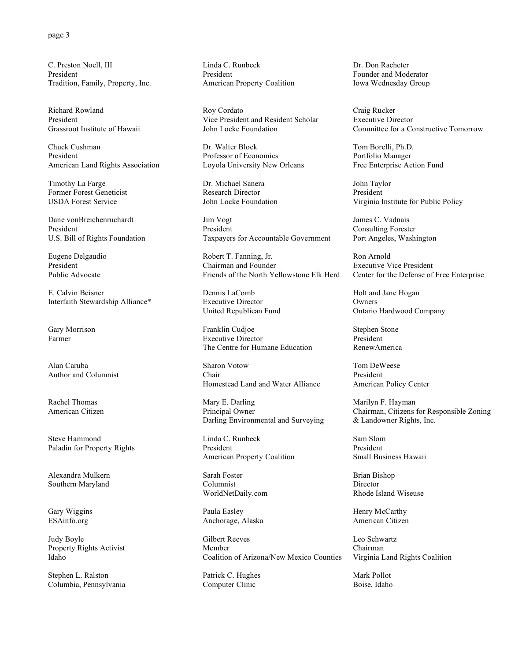C. Preston Noell, III President Tradition, Family, Property, Inc.

Richard Rowland President Grassroot Institute of Hawaii

Chuck Cushman President American Land Rights Association

Timothy La Farge Former Forest Geneticist USDA Forest Service

Dane vonBreichenruchardt President U.S. Bill of Rights Foundation

Eugene Delgaudio President Public Advocate

E. Calvin Beisner Interfaith Stewardship Alliance\*

Gary Morrison Farmer

Alan Caruba Author and Columnist

Rachel Thomas American Citizen

Steve Hammond Paladin for Property Rights

Alexandra Mulkern Southern Maryland

Gary Wiggins ESAinfo.org

Judy Boyle Property Rights Activist Idaho

Stephen L. Ralston Columbia, Pennsylvania Linda C. Runbeck President American Property Coalition

Roy Cordato Vice President and Resident Scholar John Locke Foundation

Dr. Walter Block Professor of Economics Loyola University New Orleans

Dr. Michael Sanera Research Director John Locke Foundation

Jim Vogt President Taxpayers for Accountable Government

Robert T. Fanning, Jr. Chairman and Founder Friends of the North Yellowstone Elk Herd

Dennis LaComb Executive Director United Republican Fund

Franklin Cudjoe Executive Director The Centre for Humane Education

Sharon Votow Chair Homestead Land and Water Alliance

Mary E. Darling Principal Owner Darling Environmental and Surveying

Linda C. Runbeck President American Property Coalition

Sarah Foster Columnist WorldNetDaily.com

Paula Easley Anchorage, Alaska

Gilbert Reeves Member Coalition of Arizona/New Mexico Counties

Patrick C. Hughes Computer Clinic

Dr. Don Racheter Founder and Moderator Iowa Wednesday Group

Craig Rucker Executive Director Committee for a Constructive Tomorrow

Tom Borelli, Ph.D. Portfolio Manager Free Enterprise Action Fund

John Taylor President Virginia Institute for Public Policy

James C. Vadnais Consulting Forester Port Angeles, Washington

Ron Arnold Executive Vice President Center for the Defense of Free Enterprise

Holt and Jane Hogan Owners Ontario Hardwood Company

Stephen Stone President RenewAmerica

Tom DeWeese President American Policy Center

Marilyn F. Hayman Chairman, Citizens for Responsible Zoning & Landowner Rights, Inc.

Sam Slom President Small Business Hawaii

Brian Bishop Director Rhode Island Wiseuse

Henry McCarthy American Citizen

Leo Schwartz Chairman Virginia Land Rights Coalition

Mark Pollot Boise, Idaho